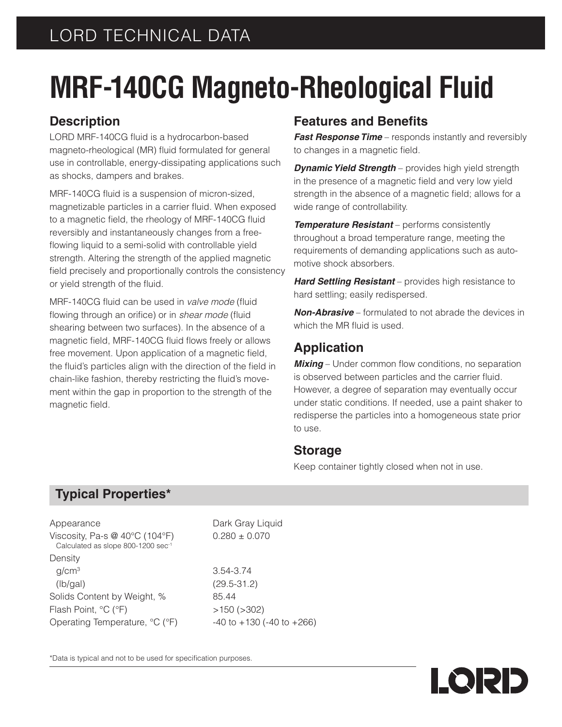# **MRF-140CG Magneto-Rheological Fluid**

## **Description**

LORD MRF-140CG fluid is a hydrocarbon-based magneto-rheological (MR) fluid formulated for general use in controllable, energy-dissipating applications such as shocks, dampers and brakes.

MRF-140CG fluid is a suspension of micron-sized, magnetizable particles in a carrier fluid. When exposed to a magnetic field, the rheology of MRF-140CG fluid reversibly and instantaneously changes from a freeflowing liquid to a semi-solid with controllable yield strength. Altering the strength of the applied magnetic field precisely and proportionally controls the consistency or yield strength of the fluid.

MRF-140CG fluid can be used in *valve mode* (fluid flowing through an orifice) or in *shear mode* (fluid shearing between two surfaces). In the absence of a magnetic field, MRF-140CG fluid flows freely or allows free movement. Upon application of a magnetic field, the fluid's particles align with the direction of the field in chain-like fashion, thereby restricting the fluid's movement within the gap in proportion to the strength of the magnetic field.

# **Features and Benefits**

*Fast Response Time* – responds instantly and reversibly to changes in a magnetic field.

*Dynamic Yield Strength* – provides high yield strength in the presence of a magnetic field and very low yield strength in the absence of a magnetic field; allows for a wide range of controllability.

*Temperature Resistant* – performs consistently throughout a broad temperature range, meeting the requirements of demanding applications such as automotive shock absorbers.

*Hard Settling Resistant* – provides high resistance to hard settling; easily redispersed.

*Non-Abrasive* – formulated to not abrade the devices in which the MR fluid is used.

## **Application**

**Mixing** – Under common flow conditions, no separation is observed between particles and the carrier fluid. However, a degree of separation may eventually occur under static conditions. If needed, use a paint shaker to redisperse the particles into a homogeneous state prior to use.

#### **Storage**

Keep container tightly closed when not in use.

# **Typical Properties\***

| Appearance                                                                    | Dark Gray Liq          |
|-------------------------------------------------------------------------------|------------------------|
| Viscosity, Pa-s $@$ 40 $°C$ (104 $°F$ )<br>Calculated as slope 800-1200 sec-1 | $0.280 \pm 0.070$      |
| Density                                                                       |                        |
| q/cm <sup>3</sup>                                                             | 3.54-3.74              |
| (lb/gal)                                                                      | $(29.5 - 31.2)$        |
| Solids Content by Weight, %                                                   | 85.44                  |
| Flash Point, °C (°F)                                                          | $>150$ ( $>302$ )      |
| Operating Temperature, °C (°F)                                                | $-40$ to $+130$ ( $-4$ |
|                                                                               |                        |

ay Liquid

130 (-40 to  $+266$ )

\*Data is typical and not to be used for specification purposes.